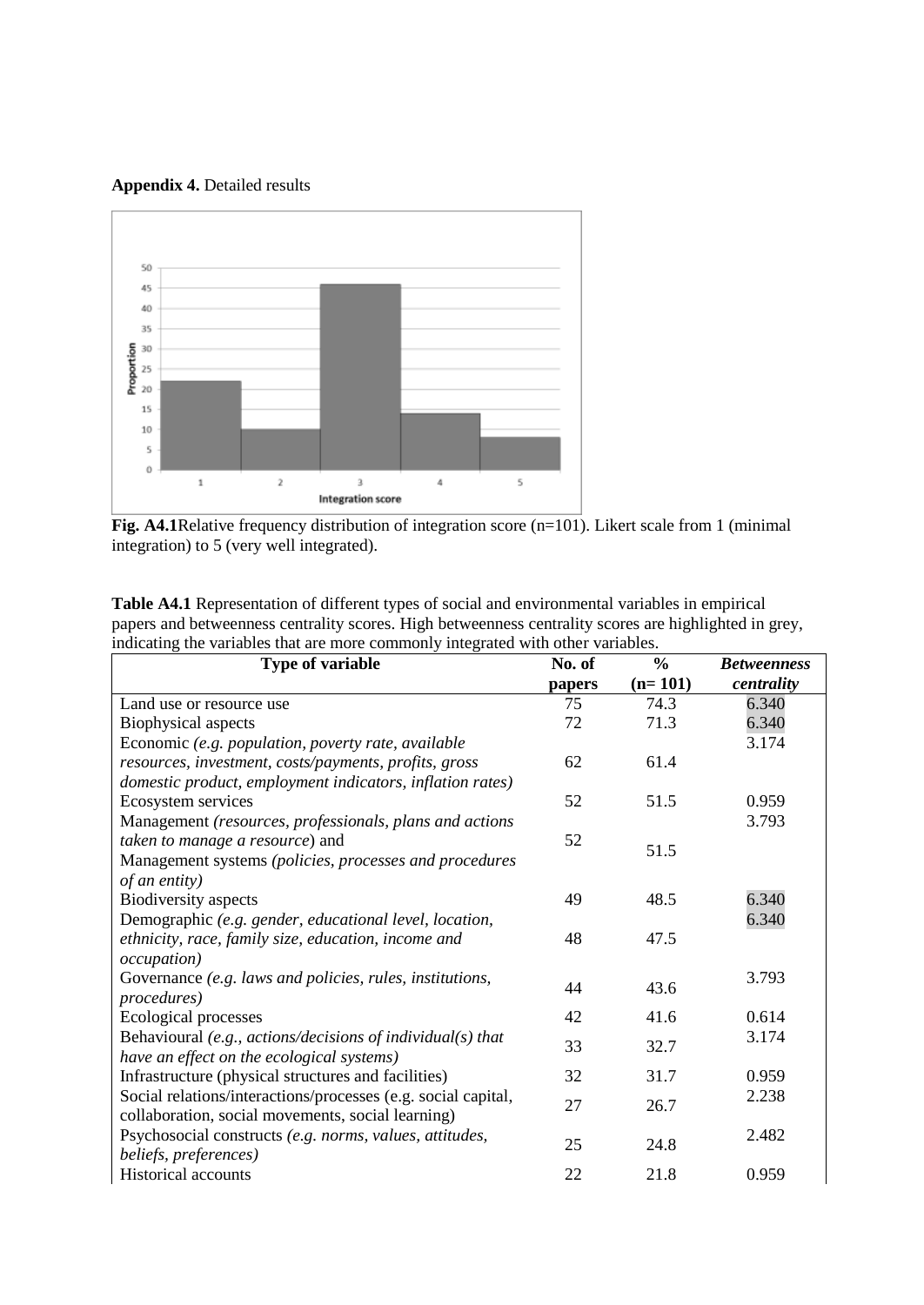**Appendix 4.** Detailed results



**Fig. A4.1**Relative frequency distribution of integration score (n=101). Likert scale from 1 (minimal integration) to 5 (very well integrated).

| Table A4.1 Representation of different types of social and environmental variables in empirical       |
|-------------------------------------------------------------------------------------------------------|
| papers and betweenness centrality scores. High betweenness centrality scores are highlighted in grey, |
| indicating the variables that are more commonly integrated with other variables.                      |

| <b>Type of variable</b>                                       | No. of | $\frac{0}{0}$ | <b>Betweenness</b> |
|---------------------------------------------------------------|--------|---------------|--------------------|
|                                                               | papers | $(n=101)$     | centrality         |
| Land use or resource use                                      | 75     | 74.3          | 6.340              |
| Biophysical aspects                                           | 72     | 71.3          | 6.340              |
| Economic (e.g. population, poverty rate, available            |        |               | 3.174              |
| resources, investment, costs/payments, profits, gross         | 62     | 61.4          |                    |
| domestic product, employment indicators, inflation rates)     |        |               |                    |
| Ecosystem services                                            | 52     | 51.5          | 0.959              |
| Management (resources, professionals, plans and actions       |        |               | 3.793              |
| taken to manage a resource) and                               | 52     | 51.5          |                    |
| Management systems (policies, processes and procedures        |        |               |                    |
| of an entity)                                                 |        |               |                    |
| <b>Biodiversity</b> aspects                                   | 49     | 48.5          | 6.340              |
| Demographic (e.g. gender, educational level, location,        |        |               | 6.340              |
| ethnicity, race, family size, education, income and           | 48     | 47.5          |                    |
| <i>occupation</i> )                                           |        |               |                    |
| Governance (e.g. laws and policies, rules, institutions,      | 44     | 43.6          | 3.793              |
| procedures)                                                   |        |               |                    |
| Ecological processes                                          | 42     | 41.6          | 0.614              |
| Behavioural $(e.g., actions/decisions of individual(s) that$  | 33     | 32.7          | 3.174              |
| have an effect on the ecological systems)                     |        |               |                    |
| Infrastructure (physical structures and facilities)           | 32     | 31.7          | 0.959              |
| Social relations/interactions/processes (e.g. social capital, | 27     | 26.7          | 2.238              |
| collaboration, social movements, social learning)             |        |               |                    |
| Psychosocial constructs (e.g. norms, values, attitudes,       | 25     | 24.8          | 2.482              |
| beliefs, preferences)                                         |        |               |                    |
| <b>Historical accounts</b>                                    | 22     | 21.8          | 0.959              |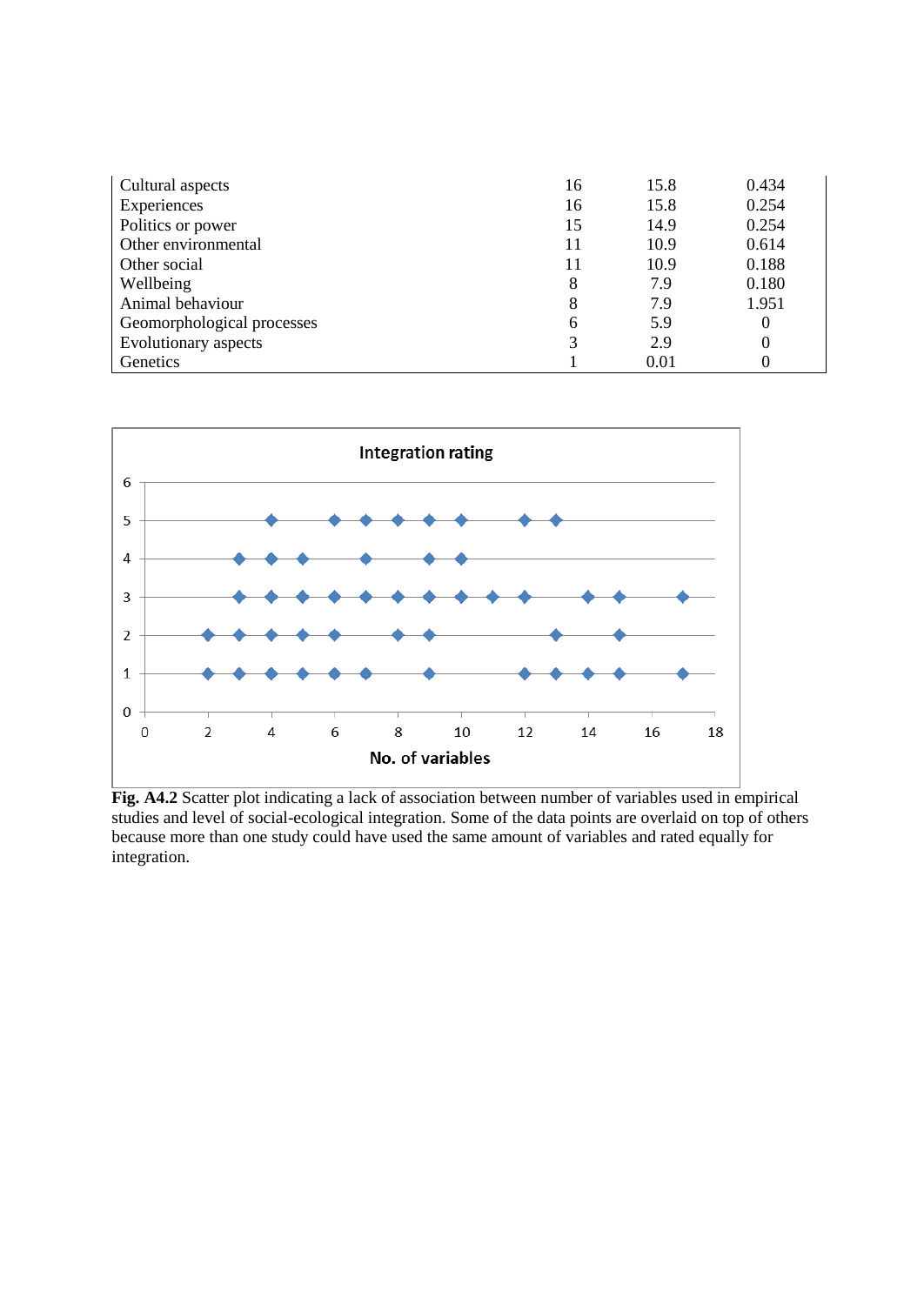| Cultural aspects           | 16 | 15.8 | 0.434    |
|----------------------------|----|------|----------|
| Experiences                | 16 | 15.8 | 0.254    |
| Politics or power          | 15 | 14.9 | 0.254    |
| Other environmental        | 11 | 10.9 | 0.614    |
| Other social               | 11 | 10.9 | 0.188    |
| Wellbeing                  | 8  | 7.9  | 0.180    |
| Animal behaviour           | 8  | 7.9  | 1.951    |
| Geomorphological processes | 6  | 5.9  | $\theta$ |
| Evolutionary aspects       | 3  | 2.9  | 0        |
| Genetics                   |    | 0.01 | 0        |



**Fig. A4.2** Scatter plot indicating a lack of association between number of variables used in empirical studies and level of social-ecological integration. Some of the data points are overlaid on top of others because more than one study could have used the same amount of variables and rated equally for integration.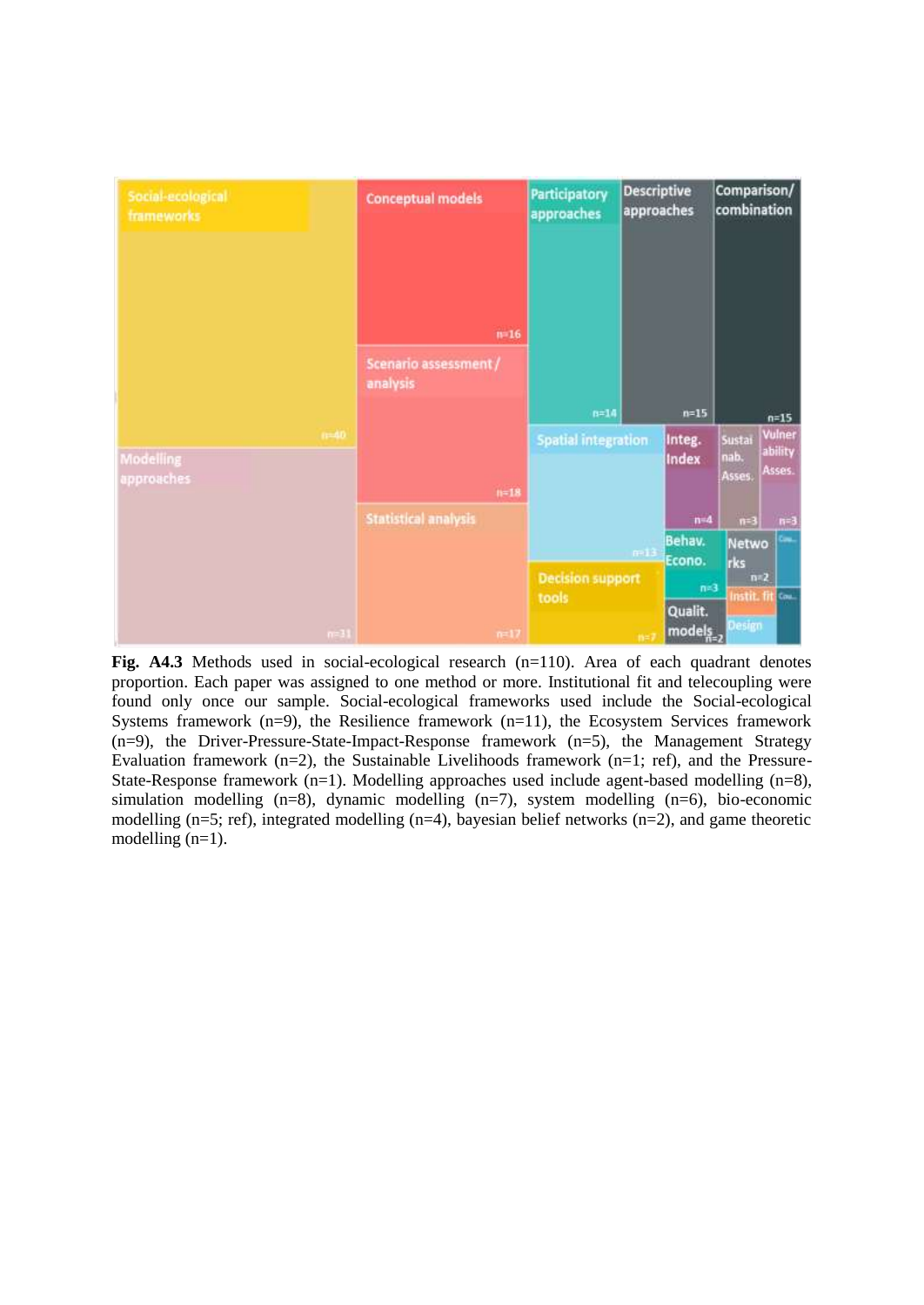

**Fig. A4.3** Methods used in social-ecological research (n=110). Area of each quadrant denotes proportion. Each paper was assigned to one method or more. Institutional fit and telecoupling were found only once our sample. Social-ecological frameworks used include the Social-ecological Systems framework  $(n=9)$ , the Resilience framework  $(n=11)$ , the Ecosystem Services framework (n=9), the Driver-Pressure-State-Impact-Response framework (n=5), the Management Strategy Evaluation framework  $(n=2)$ , the Sustainable Livelihoods framework  $(n=1;$  ref), and the Pressure-State-Response framework  $(n=1)$ . Modelling approaches used include agent-based modelling  $(n=8)$ , simulation modelling  $(n=8)$ , dynamic modelling  $(n=7)$ , system modelling  $(n=6)$ , bio-economic modelling (n=5; ref), integrated modelling (n=4), bayesian belief networks (n=2), and game theoretic modelling (n=1).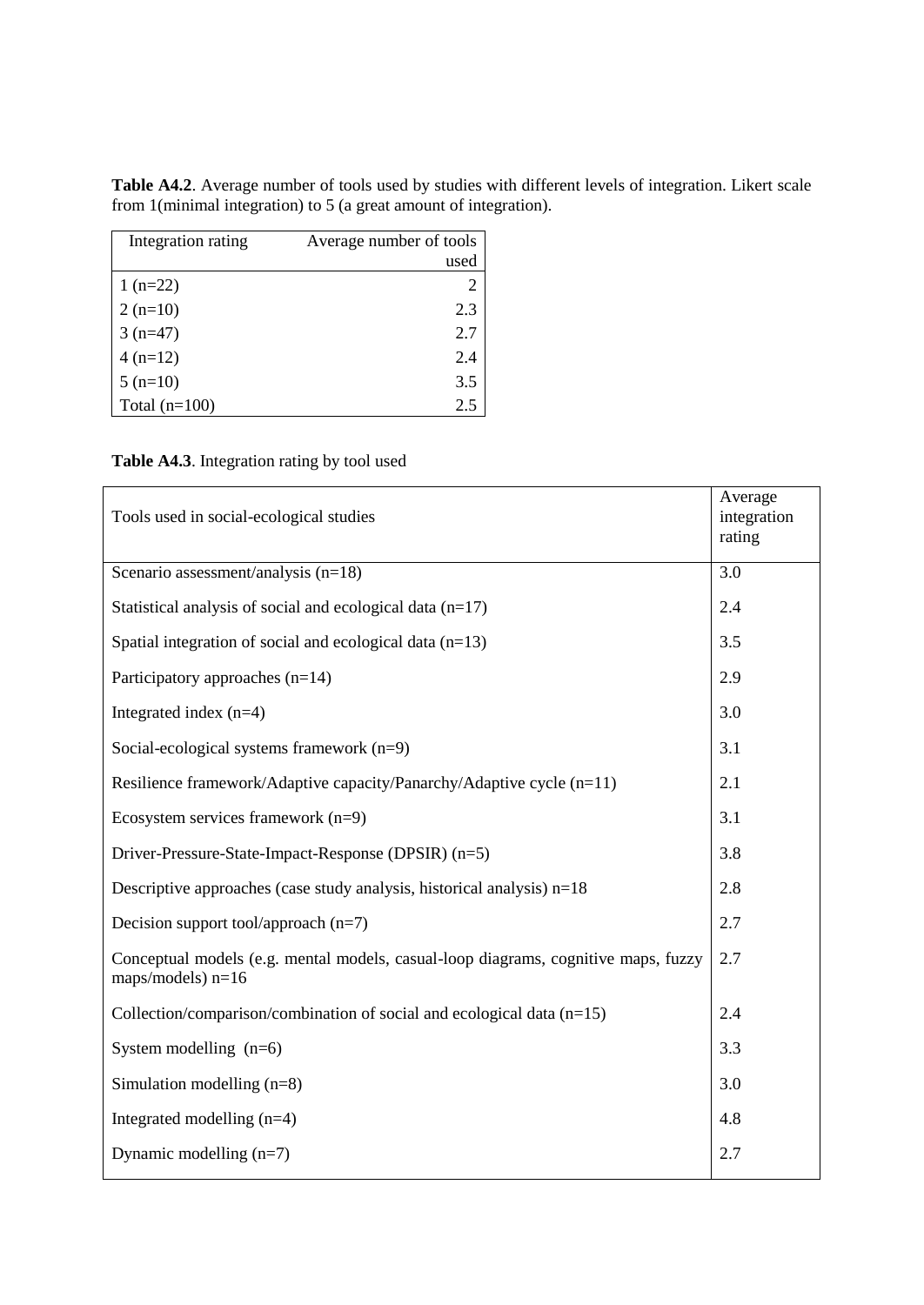**Table A4.2**. Average number of tools used by studies with different levels of integration. Likert scale from 1(minimal integration) to 5 (a great amount of integration).

| Integration rating | Average number of tools     |
|--------------------|-----------------------------|
|                    | used                        |
| $1(n=22)$          | $\mathcal{D}_{\mathcal{L}}$ |
| $2(n=10)$          | 2.3                         |
| $3(n=47)$          | 2.7                         |
| $4(n=12)$          | 2.4                         |
| $5(n=10)$          | 3.5                         |
| Total $(n=100)$    | 2.5                         |

**Table A4.3**. Integration rating by tool used

| Tools used in social-ecological studies                                                                   | Average<br>integration<br>rating |
|-----------------------------------------------------------------------------------------------------------|----------------------------------|
| Scenario assessment/analysis $(n=18)$                                                                     | 3.0                              |
| Statistical analysis of social and ecological data $(n=17)$                                               | 2.4                              |
| Spatial integration of social and ecological data $(n=13)$                                                | 3.5                              |
| Participatory approaches (n=14)                                                                           | 2.9                              |
| Integrated index $(n=4)$                                                                                  | 3.0                              |
| Social-ecological systems framework $(n=9)$                                                               | 3.1                              |
| Resilience framework/Adaptive capacity/Panarchy/Adaptive cycle (n=11)                                     | 2.1                              |
| Ecosystem services framework (n=9)                                                                        | 3.1                              |
| Driver-Pressure-State-Impact-Response (DPSIR) (n=5)                                                       | 3.8                              |
| Descriptive approaches (case study analysis, historical analysis) $n=18$                                  | 2.8                              |
| Decision support tool/approach $(n=7)$                                                                    | 2.7                              |
| Conceptual models (e.g. mental models, casual-loop diagrams, cognitive maps, fuzzy<br>maps/models) $n=16$ | 2.7                              |
| Collection/comparison/combination of social and ecological data $(n=15)$                                  | 2.4                              |
| System modelling $(n=6)$                                                                                  | 3.3                              |
| Simulation modelling $(n=8)$                                                                              | 3.0                              |
| Integrated modelling $(n=4)$                                                                              | 4.8                              |
| Dynamic modelling $(n=7)$                                                                                 | 2.7                              |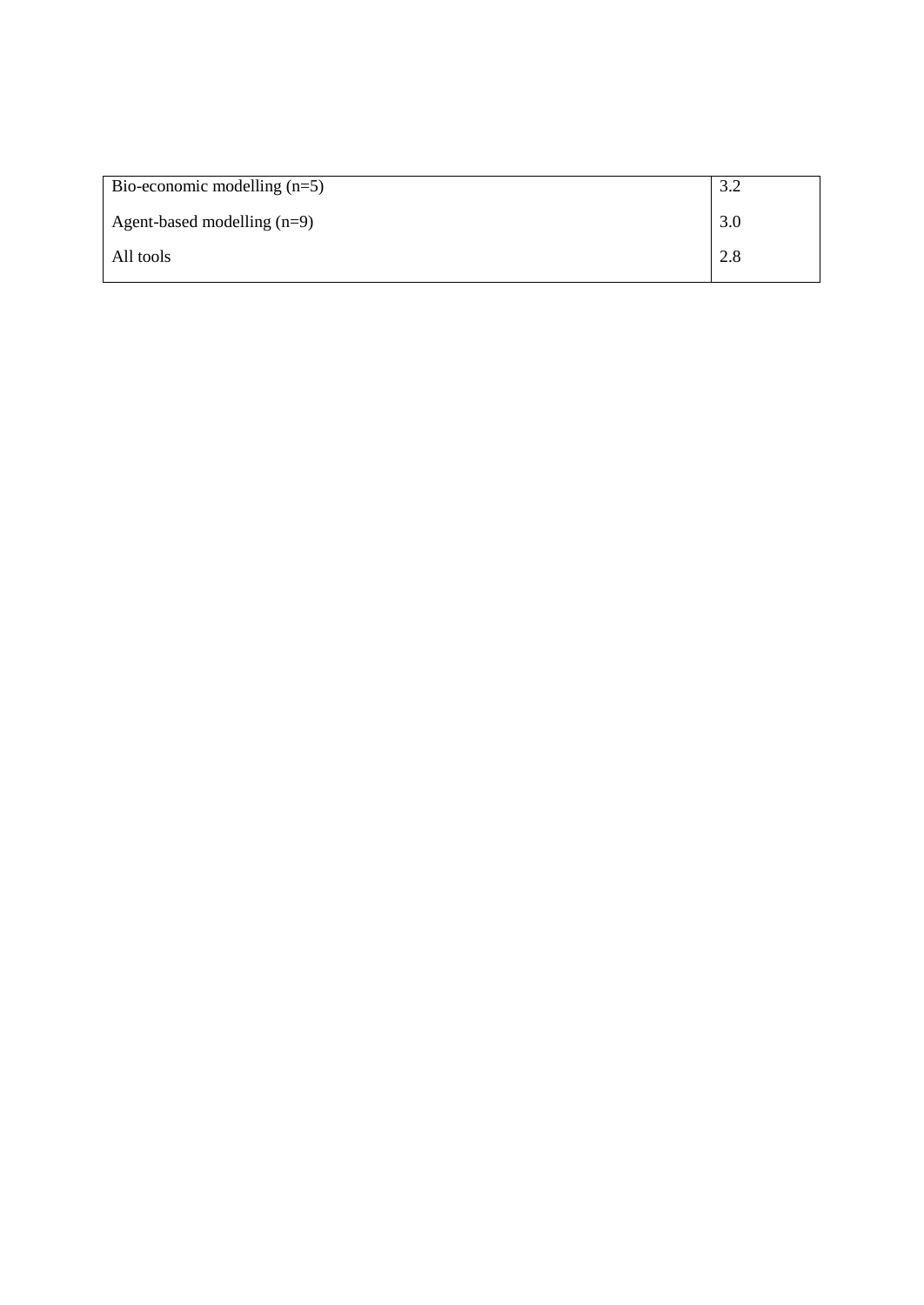| Bio-economic modelling $(n=5)$ | 3.2 |
|--------------------------------|-----|
| Agent-based modelling $(n=9)$  | 3.0 |
| All tools                      | 2.8 |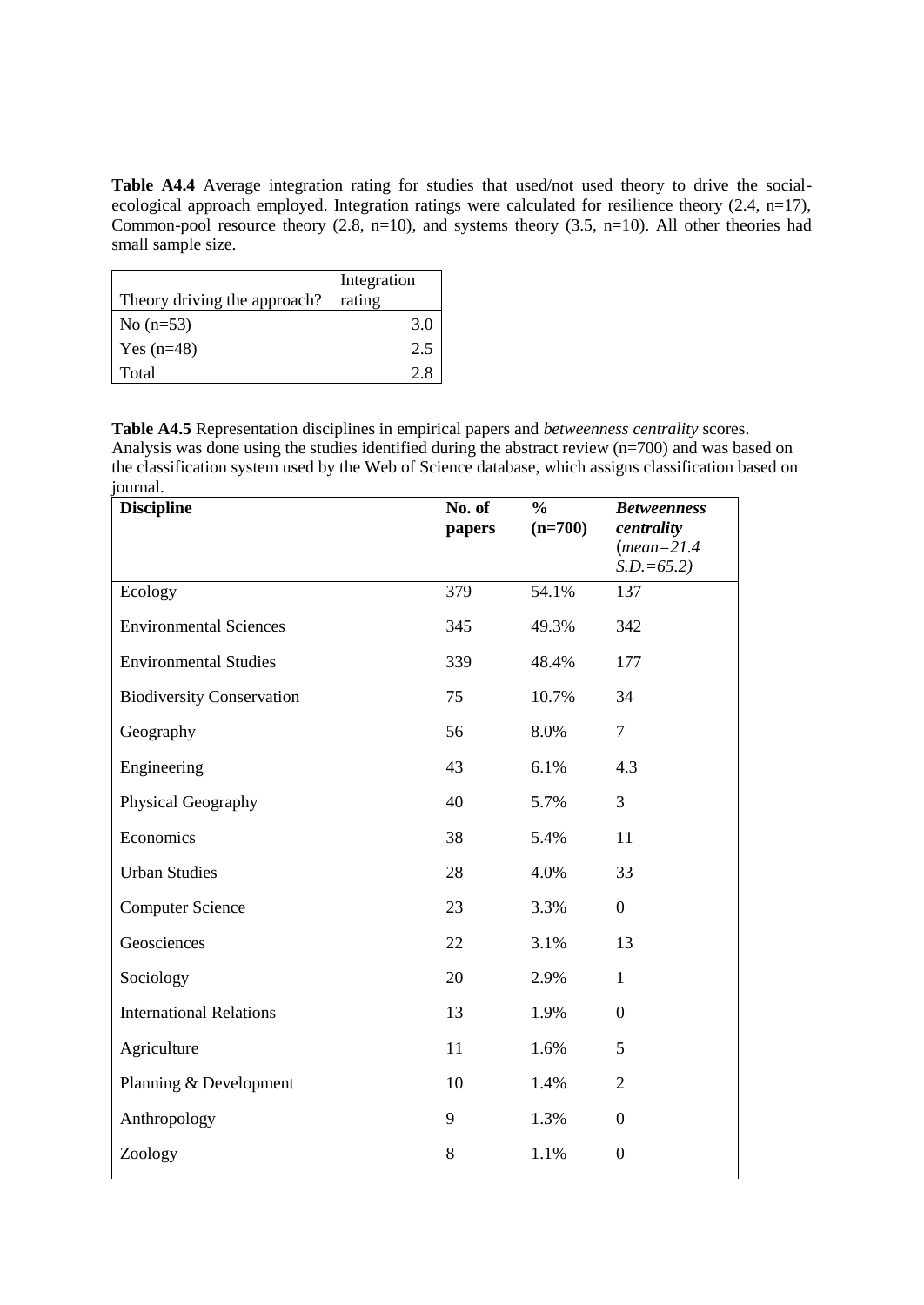**Table A4.4** Average integration rating for studies that used/not used theory to drive the socialecological approach employed. Integration ratings were calculated for resilience theory (2.4, n=17), Common-pool resource theory  $(2.8, n=10)$ , and systems theory  $(3.5, n=10)$ . All other theories had small sample size.

| Theory driving the approach? | Integration<br>rating |
|------------------------------|-----------------------|
| No $(n=53)$                  | 3.0                   |
| Yes $(n=48)$                 | 2.5                   |
| Total                        |                       |

**Table A4.5** Representation disciplines in empirical papers and *betweenness centrality* scores. Analysis was done using the studies identified during the abstract review (n=700) and was based on the classification system used by the Web of Science database, which assigns classification based on journal.

| <b>Discipline</b>                | No. of<br>papers | $\frac{0}{0}$<br>$(n=700)$ | <b>Betweenness</b><br>centrality<br>$(mean=21.4)$<br>$S.D.=65.2$ |
|----------------------------------|------------------|----------------------------|------------------------------------------------------------------|
| Ecology                          | 379              | 54.1%                      | 137                                                              |
| <b>Environmental Sciences</b>    | 345              | 49.3%                      | 342                                                              |
| <b>Environmental Studies</b>     | 339              | 48.4%                      | 177                                                              |
| <b>Biodiversity Conservation</b> | 75               | 10.7%                      | 34                                                               |
| Geography                        | 56               | 8.0%                       | $\overline{7}$                                                   |
| Engineering                      | 43               | 6.1%                       | 4.3                                                              |
| Physical Geography               | 40               | 5.7%                       | 3                                                                |
| Economics                        | 38               | 5.4%                       | 11                                                               |
| <b>Urban Studies</b>             | 28               | 4.0%                       | 33                                                               |
| <b>Computer Science</b>          | 23               | 3.3%                       | $\boldsymbol{0}$                                                 |
| Geosciences                      | 22               | 3.1%                       | 13                                                               |
| Sociology                        | 20               | 2.9%                       | $\mathbf{1}$                                                     |
| <b>International Relations</b>   | 13               | 1.9%                       | $\boldsymbol{0}$                                                 |
| Agriculture                      | 11               | 1.6%                       | 5                                                                |
| Planning & Development           | 10               | 1.4%                       | $\overline{2}$                                                   |
| Anthropology                     | 9                | 1.3%                       | $\boldsymbol{0}$                                                 |
| Zoology                          | 8                | 1.1%                       | $\mathbf{0}$                                                     |
|                                  |                  |                            |                                                                  |